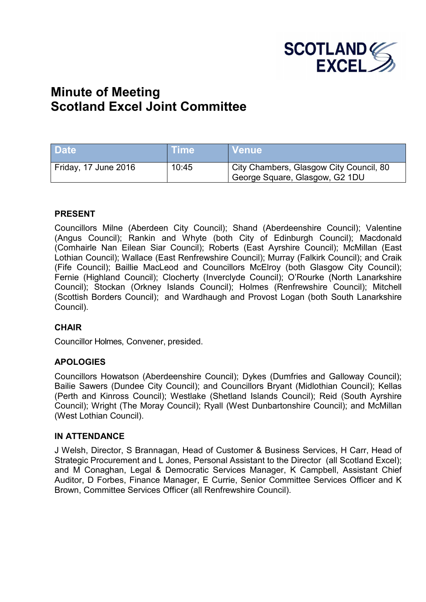

# **Minute of Meeting Scotland Excel Joint Committee**

| <b>Date</b>          | <b>Time</b> | ∣ Venue <sup>i</sup>                                                      |
|----------------------|-------------|---------------------------------------------------------------------------|
| Friday, 17 June 2016 | 10:45       | City Chambers, Glasgow City Council, 80<br>George Square, Glasgow, G2 1DU |

#### **PRESENT**

Councillors Milne (Aberdeen City Council); Shand (Aberdeenshire Council); Valentine (Angus Council); Rankin and Whyte (both City of Edinburgh Council); Macdonald (Comhairle Nan Eilean Siar Council); Roberts (East Ayrshire Council); McMillan (East Lothian Council); Wallace (East Renfrewshire Council); Murray (Falkirk Council); and Craik (Fife Council); Baillie MacLeod and Councillors McElroy (both Glasgow City Council); Fernie (Highland Council); Clocherty (Inverclyde Council); O'Rourke (North Lanarkshire Council); Stockan (Orkney Islands Council); Holmes (Renfrewshire Council); Mitchell (Scottish Borders Council); and Wardhaugh and Provost Logan (both South Lanarkshire Council).

## **CHAIR**

Councillor Holmes, Convener, presided.

## **APOLOGIES**

Councillors Howatson (Aberdeenshire Council); Dykes (Dumfries and Galloway Council); Bailie Sawers (Dundee City Council); and Councillors Bryant (Midlothian Council); Kellas (Perth and Kinross Council); Westlake (Shetland Islands Council); Reid (South Ayrshire Council); Wright (The Moray Council); Ryall (West Dunbartonshire Council); and McMillan (West Lothian Council).

#### **IN ATTENDANCE**

J Welsh, Director, S Brannagan, Head of Customer & Business Services, H Carr, Head of Strategic Procurement and L Jones, Personal Assistant to the Director (all Scotland Excel); and M Conaghan, Legal & Democratic Services Manager, K Campbell, Assistant Chief Auditor, D Forbes, Finance Manager, E Currie, Senior Committee Services Officer and K Brown, Committee Services Officer (all Renfrewshire Council).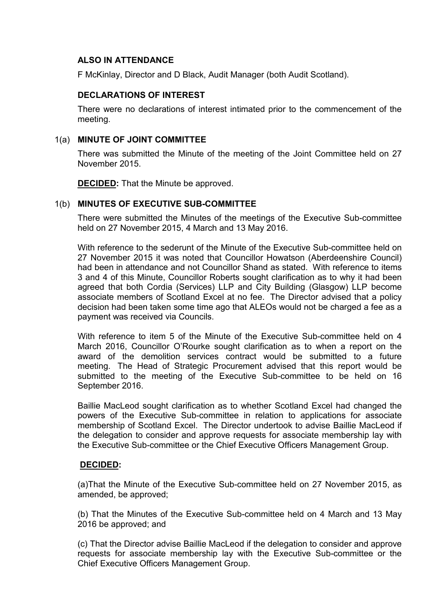## **ALSO IN ATTENDANCE**

F McKinlay, Director and D Black, Audit Manager (both Audit Scotland).

# **DECLARATIONS OF INTEREST**

There were no declarations of interest intimated prior to the commencement of the meeting.

# 1(a) **MINUTE OF JOINT COMMITTEE**

There was submitted the Minute of the meeting of the Joint Committee held on 27 November 2015.

**DECIDED:** That the Minute be approved.

# 1(b) **MINUTES OF EXECUTIVE SUB-COMMITTEE**

There were submitted the Minutes of the meetings of the Executive Sub-committee held on 27 November 2015, 4 March and 13 May 2016.

With reference to the sederunt of the Minute of the Executive Sub-committee held on 27 November 2015 it was noted that Councillor Howatson (Aberdeenshire Council) had been in attendance and not Councillor Shand as stated. With reference to items 3 and 4 of this Minute, Councillor Roberts sought clarification as to why it had been agreed that both Cordia (Services) LLP and City Building (Glasgow) LLP become associate members of Scotland Excel at no fee. The Director advised that a policy decision had been taken some time ago that ALEOs would not be charged a fee as a payment was received via Councils.

With reference to item 5 of the Minute of the Executive Sub-committee held on 4 March 2016, Councillor O'Rourke sought clarification as to when a report on the award of the demolition services contract would be submitted to a future meeting. The Head of Strategic Procurement advised that this report would be submitted to the meeting of the Executive Sub-committee to be held on 16 September 2016.

Baillie MacLeod sought clarification as to whether Scotland Excel had changed the powers of the Executive Sub-committee in relation to applications for associate membership of Scotland Excel. The Director undertook to advise Baillie MacLeod if the delegation to consider and approve requests for associate membership lay with the Executive Sub-committee or the Chief Executive Officers Management Group.

## **DECIDED:**

(a)That the Minute of the Executive Sub-committee held on 27 November 2015, as amended, be approved;

(b) That the Minutes of the Executive Sub-committee held on 4 March and 13 May 2016 be approved; and

(c) That the Director advise Baillie MacLeod if the delegation to consider and approve requests for associate membership lay with the Executive Sub-committee or the Chief Executive Officers Management Group.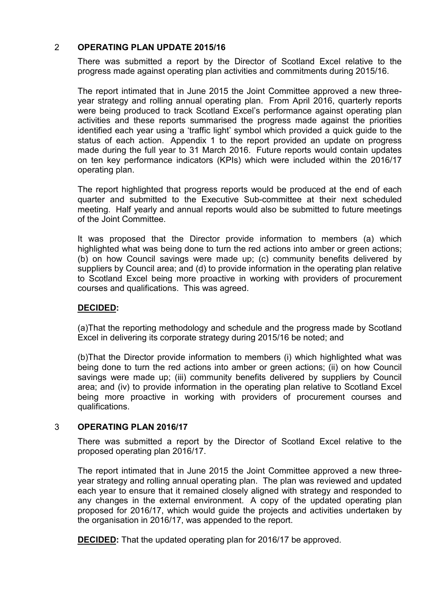# 2 **OPERATING PLAN UPDATE 2015/16**

There was submitted a report by the Director of Scotland Excel relative to the progress made against operating plan activities and commitments during 2015/16.

The report intimated that in June 2015 the Joint Committee approved a new threeyear strategy and rolling annual operating plan. From April 2016, quarterly reports were being produced to track Scotland Excel's performance against operating plan activities and these reports summarised the progress made against the priorities identified each year using a 'traffic light' symbol which provided a quick guide to the status of each action. Appendix 1 to the report provided an update on progress made during the full year to 31 March 2016. Future reports would contain updates on ten key performance indicators (KPIs) which were included within the 2016/17 operating plan.

The report highlighted that progress reports would be produced at the end of each quarter and submitted to the Executive Sub-committee at their next scheduled meeting. Half yearly and annual reports would also be submitted to future meetings of the Joint Committee.

It was proposed that the Director provide information to members (a) which highlighted what was being done to turn the red actions into amber or green actions; (b) on how Council savings were made up; (c) community benefits delivered by suppliers by Council area; and (d) to provide information in the operating plan relative to Scotland Excel being more proactive in working with providers of procurement courses and qualifications. This was agreed.

## **DECIDED:**

(a)That the reporting methodology and schedule and the progress made by Scotland Excel in delivering its corporate strategy during 2015/16 be noted; and

(b)That the Director provide information to members (i) which highlighted what was being done to turn the red actions into amber or green actions; (ii) on how Council savings were made up; (iii) community benefits delivered by suppliers by Council area; and (iv) to provide information in the operating plan relative to Scotland Excel being more proactive in working with providers of procurement courses and qualifications.

## 3 **OPERATING PLAN 2016/17**

There was submitted a report by the Director of Scotland Excel relative to the proposed operating plan 2016/17.

The report intimated that in June 2015 the Joint Committee approved a new threeyear strategy and rolling annual operating plan. The plan was reviewed and updated each year to ensure that it remained closely aligned with strategy and responded to any changes in the external environment. A copy of the updated operating plan proposed for 2016/17, which would guide the projects and activities undertaken by the organisation in 2016/17, was appended to the report.

**DECIDED:** That the updated operating plan for 2016/17 be approved.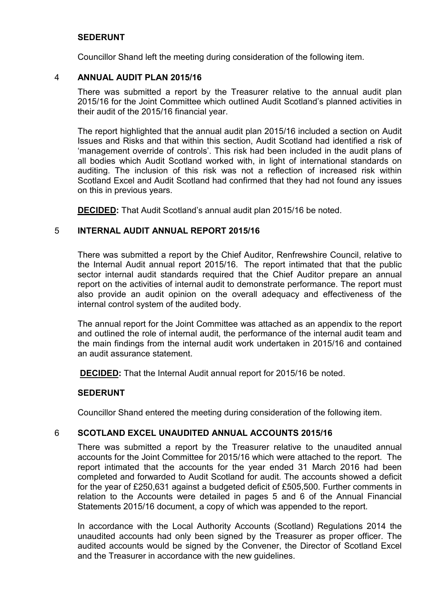## **SEDERUNT**

Councillor Shand left the meeting during consideration of the following item.

#### 4 **ANNUAL AUDIT PLAN 2015/16**

There was submitted a report by the Treasurer relative to the annual audit plan 2015/16 for the Joint Committee which outlined Audit Scotland's planned activities in their audit of the 2015/16 financial year.

The report highlighted that the annual audit plan 2015/16 included a section on Audit Issues and Risks and that within this section, Audit Scotland had identified a risk of 'management override of controls'. This risk had been included in the audit plans of all bodies which Audit Scotland worked with, in light of international standards on auditing. The inclusion of this risk was not a reflection of increased risk within Scotland Excel and Audit Scotland had confirmed that they had not found any issues on this in previous years.

**DECIDED:** That Audit Scotland's annual audit plan 2015/16 be noted.

## 5 **INTERNAL AUDIT ANNUAL REPORT 2015/16**

There was submitted a report by the Chief Auditor, Renfrewshire Council, relative to the Internal Audit annual report 2015/16. The report intimated that that the public sector internal audit standards required that the Chief Auditor prepare an annual report on the activities of internal audit to demonstrate performance. The report must also provide an audit opinion on the overall adequacy and effectiveness of the internal control system of the audited body.

The annual report for the Joint Committee was attached as an appendix to the report and outlined the role of internal audit, the performance of the internal audit team and the main findings from the internal audit work undertaken in 2015/16 and contained an audit assurance statement.

**DECIDED:** That the Internal Audit annual report for 2015/16 be noted.

#### **SEDERUNT**

Councillor Shand entered the meeting during consideration of the following item.

## 6 **SCOTLAND EXCEL UNAUDITED ANNUAL ACCOUNTS 2015/16**

There was submitted a report by the Treasurer relative to the unaudited annual accounts for the Joint Committee for 2015/16 which were attached to the report. The report intimated that the accounts for the year ended 31 March 2016 had been completed and forwarded to Audit Scotland for audit. The accounts showed a deficit for the year of £250,631 against a budgeted deficit of £505,500. Further comments in relation to the Accounts were detailed in pages 5 and 6 of the Annual Financial Statements 2015/16 document, a copy of which was appended to the report.

In accordance with the Local Authority Accounts (Scotland) Regulations 2014 the unaudited accounts had only been signed by the Treasurer as proper officer. The audited accounts would be signed by the Convener, the Director of Scotland Excel and the Treasurer in accordance with the new guidelines.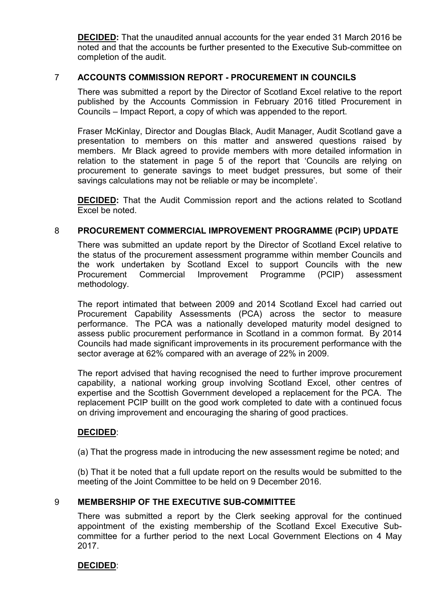**DECIDED:** That the unaudited annual accounts for the year ended 31 March 2016 be noted and that the accounts be further presented to the Executive Sub-committee on completion of the audit.

## 7 **ACCOUNTS COMMISSION REPORT - PROCUREMENT IN COUNCILS**

There was submitted a report by the Director of Scotland Excel relative to the report published by the Accounts Commission in February 2016 titled Procurement in Councils – Impact Report, a copy of which was appended to the report.

Fraser McKinlay, Director and Douglas Black, Audit Manager, Audit Scotland gave a presentation to members on this matter and answered questions raised by members. Mr Black agreed to provide members with more detailed information in relation to the statement in page 5 of the report that 'Councils are relying on procurement to generate savings to meet budget pressures, but some of their savings calculations may not be reliable or may be incomplete'.

**DECIDED:** That the Audit Commission report and the actions related to Scotland Excel be noted.

## 8 **PROCUREMENT COMMERCIAL IMPROVEMENT PROGRAMME (PCIP) UPDATE**

There was submitted an update report by the Director of Scotland Excel relative to the status of the procurement assessment programme within member Councils and the work undertaken by Scotland Excel to support Councils with the new Procurement Commercial Improvement Programme (PCIP) assessment methodology.

The report intimated that between 2009 and 2014 Scotland Excel had carried out Procurement Capability Assessments (PCA) across the sector to measure performance. The PCA was a nationally developed maturity model designed to assess public procurement performance in Scotland in a common format. By 2014 Councils had made significant improvements in its procurement performance with the sector average at 62% compared with an average of 22% in 2009.

The report advised that having recognised the need to further improve procurement capability, a national working group involving Scotland Excel, other centres of expertise and the Scottish Government developed a replacement for the PCA. The replacement PCIP buillt on the good work completed to date with a continued focus on driving improvement and encouraging the sharing of good practices.

#### **DECIDED**:

(a) That the progress made in introducing the new assessment regime be noted; and

(b) That it be noted that a full update report on the results would be submitted to the meeting of the Joint Committee to be held on 9 December 2016.

#### 9 **MEMBERSHIP OF THE EXECUTIVE SUB-COMMITTEE**

There was submitted a report by the Clerk seeking approval for the continued appointment of the existing membership of the Scotland Excel Executive Subcommittee for a further period to the next Local Government Elections on 4 May 2017.

## **DECIDED**: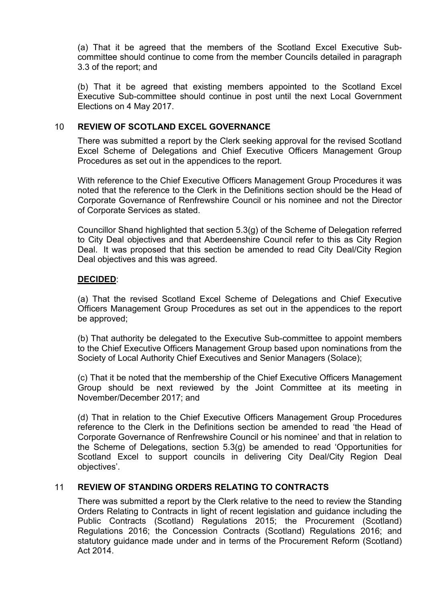(a) That it be agreed that the members of the Scotland Excel Executive Subcommittee should continue to come from the member Councils detailed in paragraph 3.3 of the report; and

(b) That it be agreed that existing members appointed to the Scotland Excel Executive Sub-committee should continue in post until the next Local Government Elections on 4 May 2017.

#### 10 **REVIEW OF SCOTLAND EXCEL GOVERNANCE**

There was submitted a report by the Clerk seeking approval for the revised Scotland Excel Scheme of Delegations and Chief Executive Officers Management Group Procedures as set out in the appendices to the report.

With reference to the Chief Executive Officers Management Group Procedures it was noted that the reference to the Clerk in the Definitions section should be the Head of Corporate Governance of Renfrewshire Council or his nominee and not the Director of Corporate Services as stated.

Councillor Shand highlighted that section 5.3(g) of the Scheme of Delegation referred to City Deal objectives and that Aberdeenshire Council refer to this as City Region Deal. It was proposed that this section be amended to read City Deal/City Region Deal objectives and this was agreed.

## **DECIDED**:

(a) That the revised Scotland Excel Scheme of Delegations and Chief Executive Officers Management Group Procedures as set out in the appendices to the report be approved;

(b) That authority be delegated to the Executive Sub-committee to appoint members to the Chief Executive Officers Management Group based upon nominations from the Society of Local Authority Chief Executives and Senior Managers (Solace);

(c) That it be noted that the membership of the Chief Executive Officers Management Group should be next reviewed by the Joint Committee at its meeting in November/December 2017; and

(d) That in relation to the Chief Executive Officers Management Group Procedures reference to the Clerk in the Definitions section be amended to read 'the Head of Corporate Governance of Renfrewshire Council or his nominee' and that in relation to the Scheme of Delegations, section 5.3(g) be amended to read 'Opportunities for Scotland Excel to support councils in delivering City Deal/City Region Deal objectives'.

## 11 **REVIEW OF STANDING ORDERS RELATING TO CONTRACTS**

There was submitted a report by the Clerk relative to the need to review the Standing Orders Relating to Contracts in light of recent legislation and guidance including the Public Contracts (Scotland) Regulations 2015; the Procurement (Scotland) Regulations 2016; the Concession Contracts (Scotland) Regulations 2016; and statutory guidance made under and in terms of the Procurement Reform (Scotland) Act 2014.